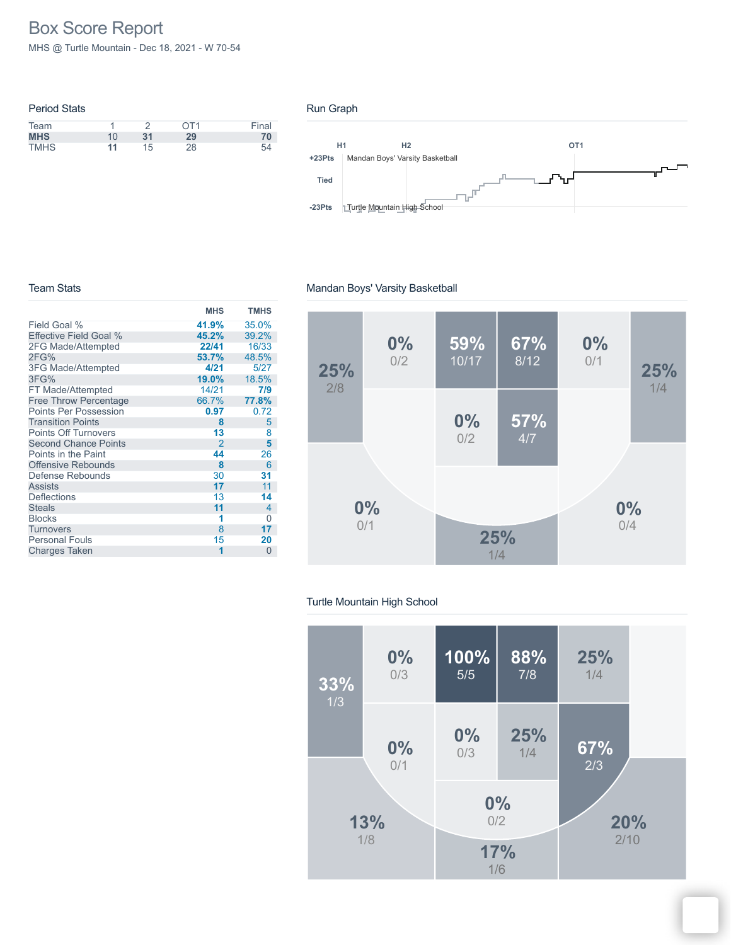# Box Score Report

MHS @ Turtle Mountain - Dec 18, 2021 - W 70-54

| <b>Period Stats</b> |    |    |             |       |
|---------------------|----|----|-------------|-------|
| Team                |    |    | $\bigcap$ 1 | Final |
| <b>MHS</b>          | 10 | 31 | 29          | 70    |
| <b>TMHS</b>         | 11 | 15 | 28          | 54    |

### Run Graph



#### Team Stats

|                               | <b>MHS</b>     | <b>TMHS</b> |
|-------------------------------|----------------|-------------|
| Field Goal %                  | 41.9%          | 35.0%       |
| <b>Effective Field Goal %</b> | 45.2%          | 39.2%       |
| 2FG Made/Attempted            | 22/41          | 16/33       |
| 2FG%                          | 53.7%          | 48.5%       |
| <b>3FG Made/Attempted</b>     | 4/21           | 5/27        |
| 3FG%                          | 19.0%          | 18.5%       |
| FT Made/Attempted             | 14/21          | 7/9         |
| <b>Free Throw Percentage</b>  | 66.7%          | 77.8%       |
| <b>Points Per Possession</b>  | 0.97           | 0.72        |
| <b>Transition Points</b>      | 8              | 5           |
| <b>Points Off Turnovers</b>   | 13             | 8           |
| <b>Second Chance Points</b>   | $\mathfrak{p}$ | 5           |
| Points in the Paint           | 44             | 26          |
| Offensive Rebounds            | 8              | 6           |
| Defense Rebounds              | 30             | 31          |
| <b>Assists</b>                | 17             | 11          |
| <b>Deflections</b>            | 13             | 14          |
| <b>Steals</b>                 | 11             | 4           |
| <b>Blocks</b>                 | 1              | 0           |
| <b>Turnovers</b>              | 8              | 17          |
| <b>Personal Fouls</b>         | 15             | 20          |
| Charges Taken                 | 1              | $\Omega$    |



## Turtle Mountain High School